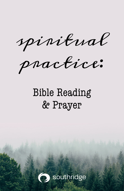spiritual

practice:

# Bible Reading & Prayer

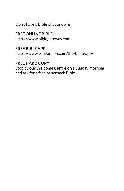Don't have a Bible of your own?

**FREE ONLINE BIBLE**: https://www.biblegateway.com

**FREE BIBLE APP:**

https://www.youversion.com/the-bible-app/

#### **FREE HARD COPY**:

Stop by our Welcome Centre on a Sunday morning and ask for a free paperback Bible.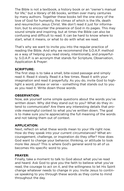The Bible is not a textbook, a history book or an "owner's manual for life," but a library of 66 books, written over many centuries by many authors. Together these books tell the one story of the love of God for humanity, the climax of which is the life, death and resurrection Jesus Christ. We don't read it just for information, but to encounter the presence of God in its pages. This may sound simple and inspiring, but at times the Bible can also be confusing and difficult to read. It can be hard to know where to start, what it means, or what to do with what we read.

That's why we want to invite you into the regular practice of reading the Bible. And why we recommend the S.O.A.P. method as a way of helping you read slowly, intentionally, and prayerfully. S.O.A.P. is an acronym that stands for Scripture, Observation, Application & Prayer:

#### **SCRIPTURE:**

The first step is to take a small, bite-sized passage and simply read it. Read it slowly. Read it a few times. Read it with your imagination and read it prayerfully. As you do, invite God to highlight a word, phrase or verse – something that stands out to you as you read it. Write down those words.

#### **OBSERVATION:**

Now, ask yourself some simple questions about the words you've written down. Why did they stand out to you? What do they intend to communicate? Are there any interesting details that provide meaningful context to what you've written down. The goal is to make sure you're appreciating the full meaning of the words and not taking them out of context.

#### **APPLICATION:**

Next, reflect on what these words mean to your life right now. How do they speak into your current circumstances? What encouragement, challenge, or inspiration do they offer? How does God want to change your behavior, thinking, or attitude to look more like Jesus? This is where God's general word to all of us becomes His specific word to you.

#### **PRAYER:**

Finally, take a moment to talk to God about what you've read and heard. Ask God to give you the faith to believe what you've read, the courage to act on it, and the willingness to let His Spirit change whatever needs to change in you. Invite Jesus to continue speaking to you through these words as they come to mind throughout the day.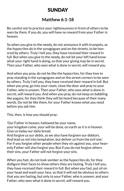# SUNDAY

#### **Matthew 6:1-18**

Be careful not to practice your righteousness in front of others to be seen by them. If you do, you will have no reward from your Father in heaven.

So when you give to the needy, do not announce it with trumpets, as the hypocrites do in the synagogues and on the streets, to be honored by others. Truly I tell you, they have received their reward in full. But when you give to the needy, do not let your left hand know what your right hand is doing, so that your giving may be in secret. Then your Father, who sees what is done in secret, will reward you.

And when you pray, do not be like the hypocrites, for they love to pray standing in the synagogues and on the street corners to be seen by others. Truly I tell you, they have received their reward in full. But when you pray, go into your room, close the door and pray to your Father, who is unseen. Then your Father, who sees what is done in secret, will reward you. And when you pray, do not keep on babbling like pagans, for they think they will be heard because of their many words. Do not be like them, for your Father knows what you need before you ask him.

This, then, is how you should pray:

'Our Father in heaven, hallowed be your name,

your kingdom come, your will be done, on earth as it is in heaven. Give us today our daily bread.

And forgive us our debts, as we also have forgiven our debtors. And lead us not into temptation, but deliver us from the evil one.' For if you forgive other people when they sin against you, your heavenly Father will also forgive you. But if you do not forgive others their sins, your Father will not forgive your sins.

When you fast, do not look somber as the hypocrites do, for they disfigure their faces to show others they are fasting. Truly I tell you, they have received their reward in full. But when you fast, put oil on your head and wash your face, so that it will not be obvious to others that you are fasting, but only to your Father, who is unseen; and your Father, who sees what is done in secret, will reward you.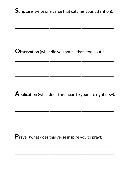Observation (what did you notice that stood out):

Application (what does this mean to your life right now):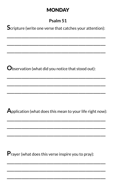# **MONDAY**

### Psalm 51

 $\mathsf{S}\text{-}\mathsf{c}\text{-}\mathsf{r}$  (write one verse that catches your attention):

Observation (what did you notice that stood out):

Application (what does this mean to your life right now):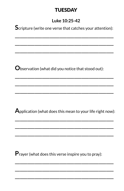# **TUESDAY**

#### Luke 10:25-42

Scripture (write one verse that catches your attention):

Observation (what did you notice that stood out):

Application (what does this mean to your life right now):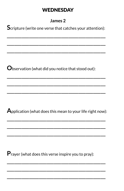## **WEDNESDAY**

### James 2

 $\mathsf{S}\text{-}\mathsf{c}\text{-}\mathsf{r}$  (write one verse that catches your attention):

Observation (what did you notice that stood out):

Application (what does this mean to your life right now):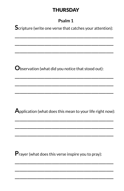# **THURSDAY**

#### Psalm 1

Scripture (write one verse that catches your attention):

 $\mathbf O$ bservation (what did you notice that stood out):

 ${\mathbf A}$ pplication (what does this mean to your life right now):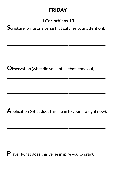# **FRIDAY**

### 1 Corinthians 13

 $\mathsf{S}\text{-}\mathsf{c}\text{-}\mathsf{r}$  (write one verse that catches your attention):

Observation (what did you notice that stood out):

Application (what does this mean to your life right now):